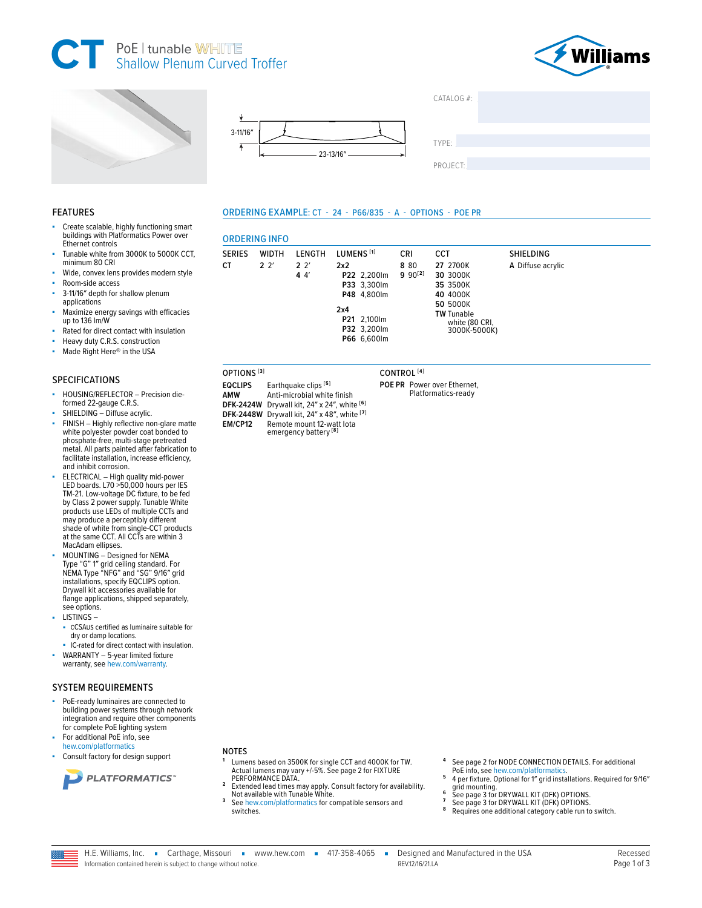







LENGTH

 $2<sup>2</sup>$ 

 $44'$ 

**ORDERING INFO** 

WIDTH

 $2^{2}$ 

**SERIES** 

CT.

**AMW** 

ORDERING EXAMPLE: CT - 24 - P66/835 - A - OPTIONS - POE PR

LUMENS<sup>[1]</sup>

P22 2,200lm

P33 3,300lm

P48 4.800lm

P21 2,100lm

P32 3,200lm

P66 6,600lm

 $2x2$ 

 $2x4$ 

CRI

8 80

 $990^{[2]}$ 



TYPE

PROJECT:

**CCT** 

Platformatics-ready

27 2700K

30 3000K

35 3500K

40 4000K

**50 5000K** 

**TW** Tunable

white (80 CRI,<br>3000K-5000K)

SHIELDING

A Diffuse acrylic

## **FEATURES**

- Create scalable, highly functioning smart buildings with Platformatics Power over Ethernet controls
- Tunable white from 3000K to 5000K CCT, minimum 80 CRI
- Wide, convex lens provides modern style
- Room-side access
- 3-11/16" depth for shallow plenum ×. applications
- Maximize energy savings with efficacies up to 136 lm/W
- Rated for direct contact with insulation
- Heavy duty C.R.S. construction
- Made Right Here® in the USA

# **SPECIFICATIONS**

- HOUSING/REFLECTOR Precision dieformed 22-gauge C.R.S.
- SHIELDING Diffuse acrylic.
- FINISH Highly reflective non-glare matte white polyester powder coat bonded to phosphate-free, multi-stage pretreated metal. All parts painted after fabrication to facilitate installation, increase efficiency, and inhibit corrosion.
- ELECTRICAL High quality mid-power<br>LED boards. L70 >50,000 hours per IES<br>TM-21. Low-voltage DC fixture, to be fed<br>by Class 2 power supply. Tunable White products use LEDs of multiple CCTs and may produce a perceptibly different shade of white from single-CCT products<br>at the same CCT. All CCTs are within 3 MacAdam ellipses.
- MOUNTING Designed for NEMA Type "G" 1" grid ceiling standard. For<br>NEMA Type "NFG" and "SG" 9/16" grid installations, specify EQCLIPS option. Drywall kit accessories available for flange applications, shipped separately, see options.
- LISTINGS-
- CCSAUS certified as luminaire suitable for dry or damp locations.
- IC-rated for direct contact with insulation. WARRANTY - 5-year limited fixture warranty, see hew.com/warranty.

## **SYSTEM REQUIREMENTS**

- PoE-ready luminaires are connected to building power systems through network integration and require other components for complete PoE lighting system
- For additional PoE info, see hew.com/platformatics
- Consult factory for design support



- **NOTES**
- Lumens based on 3500K for single CCT and 4000K for TW. Actual lumens may vary +/-5%. See page 2 for FIXTURE<br>PERFORMANCE DATA.
- Extended lead times may apply. Consult factory for availability. Not available with Tunable White.
- 3 See hew.com/platformatics for compatible sensors and switches.
- See page 2 for NODE CONNECTION DETAILS. For additional
- PoE info, see hew.com/platformatics.<br>4 per fixture. Optional for 1" grid installations. Required for 9/16" 5 grid mounting.
- $\epsilon$ See page 3 for DRYWALL KIT (DFK) OPTIONS.<br>See page 3 for DRYWALL KIT (DFK) OPTIONS.
- 
- 8 Requires one additional category cable run to switch.



emergency battery<sup>[8]</sup>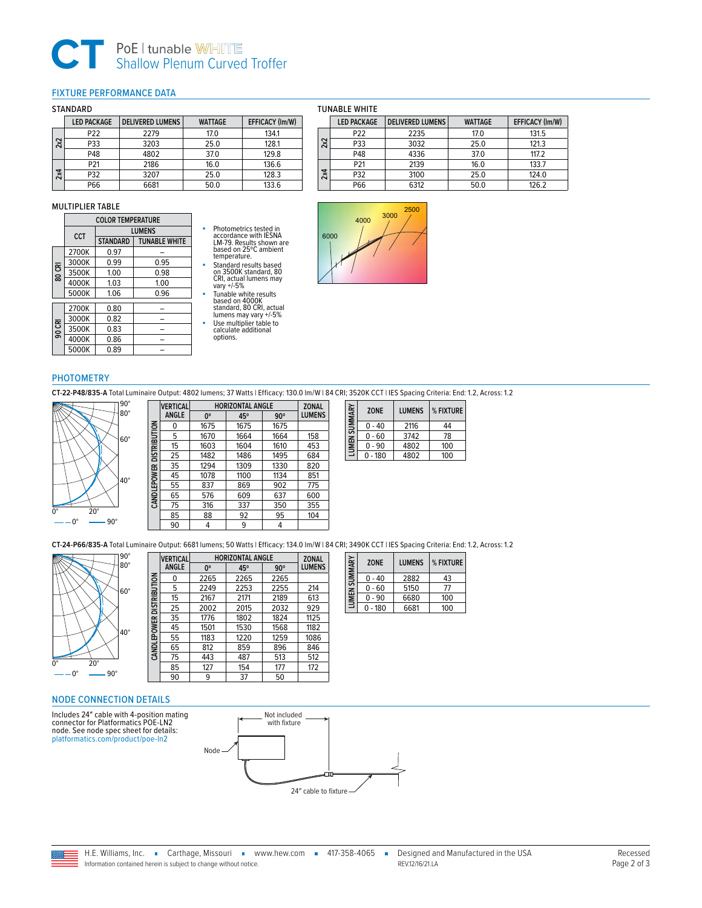# **CT** PoE | tunable WHITE<br>
Shallow Plenum Curved Troffer

# <span id="page-1-0"></span>FIXTURE PERFORMANCE DATA

## STANDARD

|     | <b>LED PACKAGE</b> | <b>DELIVERED LUMENS</b> | <b>WATTAGE</b> | EFFICACY (Im/W) |
|-----|--------------------|-------------------------|----------------|-----------------|
|     | P <sub>22</sub>    | 2279                    | 17.0           | 134.1           |
| 2x2 | P33                | 3203                    | 25.0           | 128.1           |
|     | P48                | 4802                    | 37.0           | 129.8           |
|     | P21                | 2186                    | 16.0           | 136.6           |
| 2x4 | P32                | 3207                    | 25.0           | 128.3           |
|     | P66                | 6681                    | 50.0           | 133.6           |

### MULTIPLIER TABLE

|        | <b>COLOR TEMPERATURE</b> |                 |                      |  |  |
|--------|--------------------------|-----------------|----------------------|--|--|
|        | CCT                      |                 | <b>LUMENS</b>        |  |  |
|        |                          | <b>STANDARD</b> | <b>TUNABLE WHITE</b> |  |  |
|        | 2700K                    | 0.97            |                      |  |  |
|        | 3000K                    | 0.99            | 0.95                 |  |  |
| 80 CRI | 3500K                    | 1.00            | 0.98                 |  |  |
|        | 4000K                    | 1.03            | 1.00                 |  |  |
|        | 5000K                    | 1.06            | 0.96                 |  |  |
|        |                          |                 |                      |  |  |
|        | 2700K                    | 0.80            |                      |  |  |
|        | 3000K                    | 0.82            |                      |  |  |
| 90 CRI | 3500K                    | 0.83            |                      |  |  |
|        | 4000K                    | 0.86            |                      |  |  |
|        | 5000K                    | 0.89            |                      |  |  |

# Photometrics tested in accordance with IESNA<br>LM-79. Results shown are<br>based on 25°C ambient temperature.

■ Standard results based on 3500K standard, 80 CRI, actual lumens may vary +/-5%

- Tunable white results based on 4000K standard, 80 CRI, actual lumens may vary +/-5%
- Use multiplier table to calculate additional
- 



options.





## PHOTOMETRY

**CT-22-P48/835-A** Total Luminaire Output: 4802 lumens; 37 Watts | Efficacy: 130.0 lm/W | 84 CRI; 3520K CCT | IES Spacing Criteria: End: 1.2, Across: 1.2



| <b>VERTICAL</b> |             | <b>ZONAL</b> |            |                         |
|-----------------|-------------|--------------|------------|-------------------------|
| ANGLE           | $0^{\circ}$ | 45°          | $90^\circ$ | LUMENS                  |
| 0               | 1675        | 1675         | 1675       |                         |
| 5               | 1670        | 1664         | 1664       | 158                     |
| 15              | 1603        | 1604         | 1610       | 453                     |
| 25              | 1482        | 1486         | 1495       | 684                     |
| 35              | 1294        | 1309         | 1330       | 820                     |
| 45              | 1078        | 1100         | 1134       | 851                     |
| 55              | 837         | 869          | 902        | 775                     |
| 65              | 576         | 609          | 637        | 600                     |
| 75              | 316         | 337          | 350        | 355                     |
| 85              | 88          | 92           | 95         | 104                     |
| 90              | 4           | 9            | 4          |                         |
|                 |             |              |            | <b>HORIZONTAL ANGLE</b> |

| SUMMARY | <b>ZONE</b> | <b>LUMENS</b> | % FIXTURE |
|---------|-------------|---------------|-----------|
|         | $0 - 40$    | 2116          | 44        |
|         | $0 - 60$    | 3742          | 78        |
| LUMEN   | $0 - 90$    | 4802          | 100       |
|         | 180         | 4802          | 100       |

**CT-24-P66/835-A** Total Luminaire Output: 6681 lumens; 50 Watts | Efficacy: 134.0 lm/W | 84 CRI; 3490K CCT | IES Spacing Criteria: End: 1.2, Across: 1.2



|                           | <b>VERTICAL</b> | <b>HORIZONTAL ANGLE</b> |      |            | <b>ZONAL</b>  |
|---------------------------|-----------------|-------------------------|------|------------|---------------|
|                           | <b>ANGLE</b>    | $0^{\circ}$             | 45°  | $90^\circ$ | <b>LUMENS</b> |
| CAN DLEPOWER DISTRIBUTION | 0               | 2265                    | 2265 | 2265       |               |
|                           | 5               | 2249                    | 2253 | 2255       | 214           |
|                           | 15              | 2167                    | 2171 | 2189       | 613           |
|                           | 25              | 2002                    | 2015 | 2032       | 929           |
|                           | 35              | 1776                    | 1802 | 1824       | 1125          |
|                           | 45              | 1501                    | 1530 | 1568       | 1182          |
|                           | 55              | 1183                    | 1220 | 1259       | 1086          |
|                           | 65              | 812                     | 859  | 896        | 846           |
|                           | 75              | 443                     | 487  | 513        | 512           |
|                           | 85              | 127                     | 154  | 177        | 172           |
|                           | 90              | 9                       | 37   | 50         |               |

| LUMEN SUMMARY | <b>ZONE</b> | <b>LUMENS</b> | % FIXTURE |
|---------------|-------------|---------------|-----------|
|               | $0 - 40$    | 2882          | 43        |
|               | $0 - 60$    | 5150          | 77        |
|               | $0 - 90$    | 6680          | 100       |
|               | 180         | 6681          | 100       |

<span id="page-1-1"></span>NODE CONNECTION DETAILS

Includes 24″ cable with 4-position mating connector for Platformatics POE-LN2 node. See node spec sheet for details: [platformatics.com/product/poe-ln2](http://platformatics.com/product/poe-ln2)